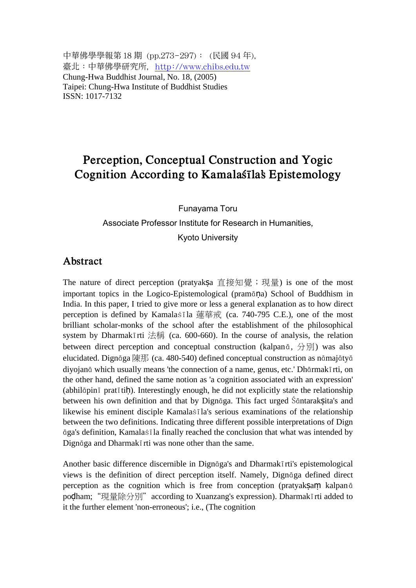中華佛學學報第 18 期 (pp.273-297): (民國 94 年), 臺北:中華佛學研究所, http://www.chibs.edu.tw Chung-Hwa Buddhist Journal, No. 18, (2005) Taipei: Chung-Hwa Institute of Buddhist Studies ISSN: 1017-7132

## **Perception, Conceptual Construction and Yogic Cognition According to Kamalaśīla's Epistemology**

## Funayama Toru Associate Professor Institute for Research in Humanities, Kyoto University

### **Abstract**

The nature of direct perception (pratyakṣa 直接知覺;現量) is one of the most important topics in the Logico-Epistemological (pramāṇa) School of Buddhism in India. In this paper, I tried to give more or less a general explanation as to how direct perception is defined by Kamalaśīla 蓮華戒 (ca. 740-795 C.E.), one of the most brilliant scholar-monks of the school after the establishment of the philosophical system by Dharmakīrti 法稱 (ca. 600-660). In the course of analysis, the relation between direct perception and conceptual construction (kalpanā, 分別) was also elucidated. Dignāga 陳那 (ca. 480-540) defined conceptual construction as nāmajātyā diyojanā which usually means 'the connection of a name, genus, etc.' Dhārmakīrti, on the other hand, defined the same notion as 'a cognition associated with an expression' (abhilāpinī pratītiḥ). Interestingly enough, he did not explicitly state the relationship between his own definition and that by Dignāga. This fact urged Śāntaraksita's and likewise his eminent disciple Kamalaśīla's serious examinations of the relationship between the two definitions. Indicating three different possible interpretations of Dign āga's definition, Kamalaśīla finally reached the conclusion that what was intended by Dignāga and Dharmakīrti was none other than the same.

Another basic difference discernible in Dignāga's and Dharmakīrti's epistemological views is the definition of direct perception itself. Namely, Dignāga defined direct perception as the cognition which is free from conception (pratyaksam kalpan $\bar{a}$ ) podham; "現量除分別" according to Xuanzang's expression). Dharmakīrti added to it the further element 'non-erroneous'; i.e., (The cognition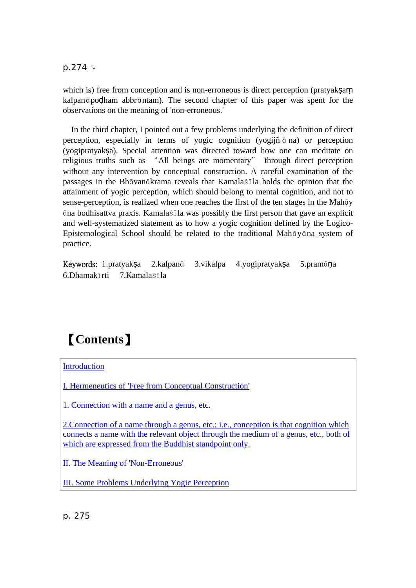$p.274 \rightarrow$ 

which is) free from conception and is non-erroneous is direct perception (pratyaksam kalpanāpoḍham abbrāntam). The second chapter of this paper was spent for the observations on the meaning of 'non-erroneous.'

In the third chapter, I pointed out a few problems underlying the definition of direct perception, especially in terms of yogic cognition (yogijñ ā na) or perception (yogipratyakṣa). Special attention was directed toward how one can meditate on religious truths such as "All beings are momentary" through direct perception without any intervention by conceptual construction. A careful examination of the passages in the Bhāvanākrama reveals that Kamalaśīla holds the opinion that the attainment of yogic perception, which should belong to mental cognition, and not to sense-perception, is realized when one reaches the first of the ten stages in the Mahāy āna bodhisattva praxis. Kamalaśīla was possibly the first person that gave an explicit and well-systematized statement as to how a yogic cognition defined by the Logico-Epistemological School should be related to the traditional Mahāyāna system of practice.

Keywords: 1.pratyaksa 2.kalpanā 3. vikalpa 4. yogi pratyaksa 5. pramāna 6.Dhamakīrti 7.Kamalaśīla

# 【**Contents**】

**Introduction** 

I. Hermeneutics of 'Free from Conceptual Construction'

1. Connection with a name and a genus, etc.

2.Connection of a name through a genus, etc.; i.e., conception is that cognition which connects a name with the relevant object through the medium of a genus, etc., both of which are expressed from the Buddhist standpoint only.

II. The Meaning of 'Non-Erroneous'

III. Some Problems Underlying Yogic Perception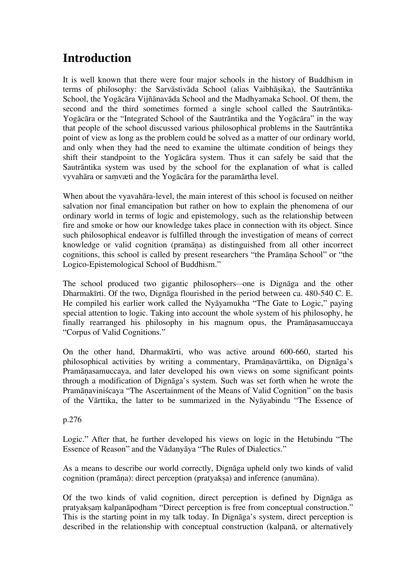# **Introduction**

It is well known that there were four major schools in the history of Buddhism in terms of philosophy: the Sarvāstivāda School (alias Vaibhāṣika), the Sautrāntika School, the Yogācāra Vijñānavāda School and the Madhyamaka School. Of them, the second and the third sometimes formed a single school called the Sautrāntika-Yogācāra or the "Integrated School of the Sautrāntika and the Yogācāra" in the way that people of the school discussed various philosophical problems in the Sautrāntika point of view as long as the problem could be solved as a matter of our ordinary world, and only when they had the need to examine the ultimate condition of beings they shift their standpoint to the Yogācāra system. Thus it can safely be said that the Sautrāntika system was used by the school for the explanation of what is called vyvahāra or saṃvæti and the Yogācāra for the paramārtha level.

When about the vyavahāra-level, the main interest of this school is focused on neither salvation nor final emancipation but rather on how to explain the phenomena of our ordinary world in terms of logic and epistemology, such as the relationship between fire and smoke or how our knowledge takes place in connection with its object. Since such philosophical endeavor is fulfilled through the investigation of means of correct knowledge or valid cognition (pramāṇa) as distinguished from all other incorrect cognitions, this school is called by present researchers "the Pramāṇa School" or "the Logico-Epistemological School of Buddhism."

The school produced two gigantic philosophers—one is Dignāga and the other Dharmakīrti. Of the two, Dignāga flourished in the period between ca. 480-540 C. E. He compiled his earlier work called the Nyāyamukha "The Gate to Logic," paying special attention to logic. Taking into account the whole system of his philosophy, he finally rearranged his philosophy in his magnum opus, the Pramāṇasamuccaya "Corpus of Valid Cognitions."

On the other hand, Dharmakīrti, who was active around 600-660, started his philosophical activities by writing a commentary, Pramāṇavārttika, on Dignāga's Pramāṇasamuccaya, and later developed his own views on some significant points through a modification of Dignāga's system. Such was set forth when he wrote the Pramāṇaviniścaya "The Ascertainment of the Means of Valid Cognition" on the basis of the Vārttika, the latter to be summarized in the Nyāyabindu "The Essence of

#### p.276

Logic." After that, he further developed his views on logic in the Hetubindu "The Essence of Reason" and the Vādanyāya "The Rules of Dialectics."

As a means to describe our world correctly, Dignāga upheld only two kinds of valid cognition (pramāṇa): direct perception (pratyakṣa) and inference (anumāna).

Of the two kinds of valid cognition, direct perception is defined by Dignāga as pratyaksam kalpanāpodham "Direct perception is free from conceptual construction." This is the starting point in my talk today. In Dignāga's system, direct perception is described in the relationship with conceptual construction (kalpanā, or alternatively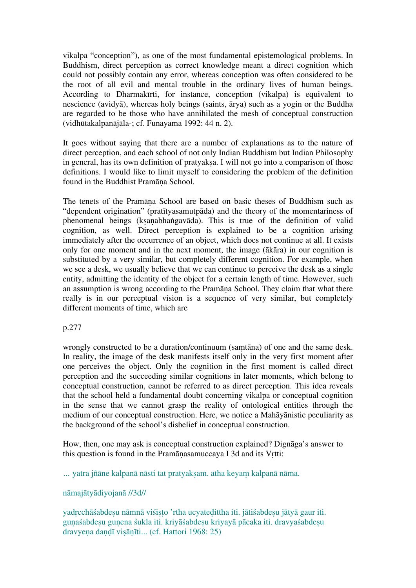vikalpa "conception"), as one of the most fundamental epistemological problems. In Buddhism, direct perception as correct knowledge meant a direct cognition which could not possibly contain any error, whereas conception was often considered to be the root of all evil and mental trouble in the ordinary lives of human beings. According to Dharmakīrti, for instance, conception (vikalpa) is equivalent to nescience (avidyā), whereas holy beings (saints, ārya) such as a yogin or the Buddha are regarded to be those who have annihilated the mesh of conceptual construction (vidhūtakalpanājāla-; cf. Funayama 1992: 44 n. 2).

It goes without saying that there are a number of explanations as to the nature of direct perception, and each school of not only Indian Buddhism but Indian Philosophy in general, has its own definition of pratyaksa. I will not go into a comparison of those definitions. I would like to limit myself to considering the problem of the definition found in the Buddhist Pramāṇa School.

The tenets of the Pramāṇa School are based on basic theses of Buddhism such as "dependent origination" (pratītyasamutpāda) and the theory of the momentariness of phenomenal beings (kṣaṇabhaṅgavāda). This is true of the definition of valid cognition, as well. Direct perception is explained to be a cognition arising immediately after the occurrence of an object, which does not continue at all. It exists only for one moment and in the next moment, the image (ākāra) in our cognition is substituted by a very similar, but completely different cognition. For example, when we see a desk, we usually believe that we can continue to perceive the desk as a single entity, admitting the identity of the object for a certain length of time. However, such an assumption is wrong according to the Pramāṇa School. They claim that what there really is in our perceptual vision is a sequence of very similar, but completely different moments of time, which are

#### p.277

wrongly constructed to be a duration/continuum (saṃtāna) of one and the same desk. In reality, the image of the desk manifests itself only in the very first moment after one perceives the object. Only the cognition in the first moment is called direct perception and the succeeding similar cognitions in later moments, which belong to conceptual construction, cannot be referred to as direct perception. This idea reveals that the school held a fundamental doubt concerning vikalpa or conceptual cognition in the sense that we cannot grasp the reality of ontological entities through the medium of our conceptual construction. Here, we notice a Mahāyānistic peculiarity as the background of the school's disbelief in conceptual construction.

How, then, one may ask is conceptual construction explained? Dignāga's answer to this question is found in the Pramāṇasamuccaya I 3d and its Vṛtti:

… yatra jñāne kalpanā nāsti tat pratyaksam. atha keyam kalpanā nāma.

#### nāmajātyādiyojanā //3d//

yadrcchāśabdesu nāmnā viśisto 'rtha ucyatedittha iti. jātiśabdesu jātyā gaur iti. guṇaśabdeṣu guṇena śukla iti. kriyāśabdeṣu kriyayā pācaka iti. dravyaśabdeṣu dravyeṇa daṇḍī viṣāṇīti... (cf. Hattori 1968: 25)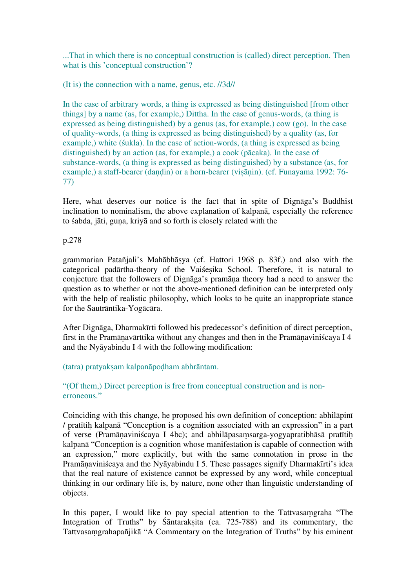...That in which there is no conceptual construction is (called) direct perception. Then what is this 'conceptual construction'?

(It is) the connection with a name, genus, etc. //3d//

In the case of arbitrary words, a thing is expressed as being distinguished [from other things] by a name (as, for example,) Dittha. In the case of genus-words, (a thing is expressed as being distinguished) by a genus (as, for example,) cow (go). In the case of quality-words, (a thing is expressed as being distinguished) by a quality (as, for example,) white (śukla). In the case of action-words, (a thing is expressed as being distinguished) by an action (as, for example,) a cook (pācaka). In the case of substance-words, (a thing is expressed as being distinguished) by a substance (as, for example,) a staff-bearer (dandin) or a horn-bearer (visānin). (cf. Funayama 1992: 76-77)

Here, what deserves our notice is the fact that in spite of Dignāga's Buddhist inclination to nominalism, the above explanation of kalpanā, especially the reference to śabda, jāti, guṇa, kriyā and so forth is closely related with the

#### p.278

grammarian Patañjali's Mahābhāṣya (cf. Hattori 1968 p. 83f.) and also with the categorical padārtha-theory of the Vaiśeṣika School. Therefore, it is natural to conjecture that the followers of Dignāga's pramāṇa theory had a need to answer the question as to whether or not the above-mentioned definition can be interpreted only with the help of realistic philosophy, which looks to be quite an inappropriate stance for the Sautrāntika-Yogācāra.

After Dignāga, Dharmakīrti followed his predecessor's definition of direct perception, first in the Pramāṇavārttika without any changes and then in the Pramāṇaviniścaya I 4 and the Nyāyabindu I 4 with the following modification:

(tatra) pratyakṣam kalpanāpoḍham abhrāntam.

"(Of them,) Direct perception is free from conceptual construction and is nonerroneous."

Coinciding with this change, he proposed his own definition of conception: abhilāpinī / pratītiḥ kalpanā "Conception is a cognition associated with an expression" in a part of verse (Pramāṇaviniścaya I 4bc); and abhilāpasaṃsarga-yogyapratibhāsā pratītiḥ kalpanā "Conception is a cognition whose manifestation is capable of connection with an expression," more explicitly, but with the same connotation in prose in the Pramāṇaviniścaya and the Nyāyabindu I 5. These passages signify Dharmakīrti's idea that the real nature of existence cannot be expressed by any word, while conceptual thinking in our ordinary life is, by nature, none other than linguistic understanding of objects.

In this paper, I would like to pay special attention to the Tattvasamgraha "The Integration of Truths" by Śāntarakṣita (ca. 725-788) and its commentary, the Tattvasaṃgrahapañjikā "A Commentary on the Integration of Truths" by his eminent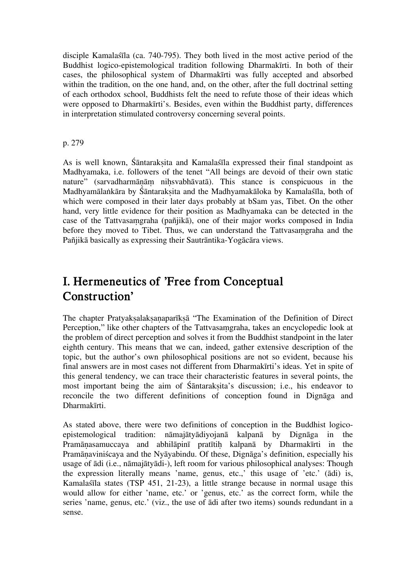disciple Kamalaśīla (ca. 740-795). They both lived in the most active period of the Buddhist logico-epistemological tradition following Dharmakīrti. In both of their cases, the philosophical system of Dharmakīrti was fully accepted and absorbed within the tradition, on the one hand, and, on the other, after the full doctrinal setting of each orthodox school, Buddhists felt the need to refute those of their ideas which were opposed to Dharmakīrti's. Besides, even within the Buddhist party, differences in interpretation stimulated controversy concerning several points.

#### p. 279

As is well known, Śāntarakṣita and Kamalaśīla expressed their final standpoint as Madhyamaka, i.e. followers of the tenet "All beings are devoid of their own static nature" (sarvadharmānām nihsvabhāvatā). This stance is conspicuous in the Madhyamālaṅkāra by Śāntarakṣita and the Madhyamakāloka by Kamalaśīla, both of which were composed in their later days probably at bSam yas, Tibet. On the other hand, very little evidence for their position as Madhyamaka can be detected in the case of the Tattvasaṃgraha (pañjikā), one of their major works composed in India before they moved to Tibet. Thus, we can understand the Tattvasaṃgraha and the Pañjikā basically as expressing their Sautrāntika-Yogācāra views.

## **I. Hermeneutics of 'Free from Conceptual Construction'**

The chapter Pratyaksalaksanaparīksā "The Examination of the Definition of Direct Perception," like other chapters of the Tattvasaṃgraha, takes an encyclopedic look at the problem of direct perception and solves it from the Buddhist standpoint in the later eighth century. This means that we can, indeed, gather extensive description of the topic, but the author's own philosophical positions are not so evident, because his final answers are in most cases not different from Dharmakīrti's ideas. Yet in spite of this general tendency, we can trace their characteristic features in several points, the most important being the aim of Śāntarakṣita's discussion; i.e., his endeavor to reconcile the two different definitions of conception found in Dignāga and Dharmakīrti.

As stated above, there were two definitions of conception in the Buddhist logicoepistemological tradition: nāmajātyādiyojanā kalpanā by Dignāga in the Pramānasamuccaya and abhilāpinī pratītih kalpanā by Dharmakīrti in the Pramāṇaviniścaya and the Nyāyabindu. Of these, Dignāga's definition, especially his usage of ādi (i.e., nāmajātyādi-), left room for various philosophical analyses: Though the expression literally means 'name, genus, etc.,' this usage of 'etc.' (ādi) is, Kamalaśīla states (TSP 451, 21-23), a little strange because in normal usage this would allow for either 'name, etc.' or 'genus, etc.' as the correct form, while the series 'name, genus, etc.' (viz., the use of ādi after two items) sounds redundant in a sense.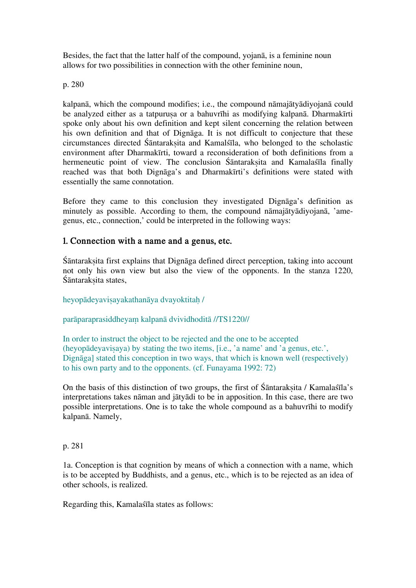Besides, the fact that the latter half of the compound, yojanā, is a feminine noun allows for two possibilities in connection with the other feminine noun,

p. 280

kalpanā, which the compound modifies; i.e., the compound nāmajātyādiyojanā could be analyzed either as a tatpurusa or a bahuvrīhi as modifying kalpanā. Dharmakīrti spoke only about his own definition and kept silent concerning the relation between his own definition and that of Dignāga. It is not difficult to conjecture that these circumstances directed Śāntarakṣita and Kamalśīla, who belonged to the scholastic environment after Dharmakīrti, toward a reconsideration of both definitions from a hermeneutic point of view. The conclusion Śāntarakṣita and Kamalaśīla finally reached was that both Dignāga's and Dharmakīrti's definitions were stated with essentially the same connotation.

Before they came to this conclusion they investigated Dignāga's definition as minutely as possible. According to them, the compound nāmajātyādiyojanā, 'amegenus, etc., connection,' could be interpreted in the following ways:

### **1. Connection with a name and a genus, etc.**

Śāntarakṣita first explains that Dignāga defined direct perception, taking into account not only his own view but also the view of the opponents. In the stanza 1220, Śāntaraksita states,

heyopādeyaviṣayakathanāya dvayoktitaḥ /

parāparaprasiddheyaṃ kalpanā dvividhoditā //TS1220//

In order to instruct the object to be rejected and the one to be accepted (heyopādeyavisaya) by stating the two items, [i.e., 'a name' and 'a genus, etc.', Dignāga] stated this conception in two ways, that which is known well (respectively) to his own party and to the opponents. (cf. Funayama 1992: 72)

On the basis of this distinction of two groups, the first of Santaraksita / Kamalassala's interpretations takes nāman and jātyādi to be in apposition. In this case, there are two possible interpretations. One is to take the whole compound as a bahuvrīhi to modify kalpanā. Namely,

p. 281

1a. Conception is that cognition by means of which a connection with a name, which is to be accepted by Buddhists, and a genus, etc., which is to be rejected as an idea of other schools, is realized.

Regarding this, Kamalaśīla states as follows: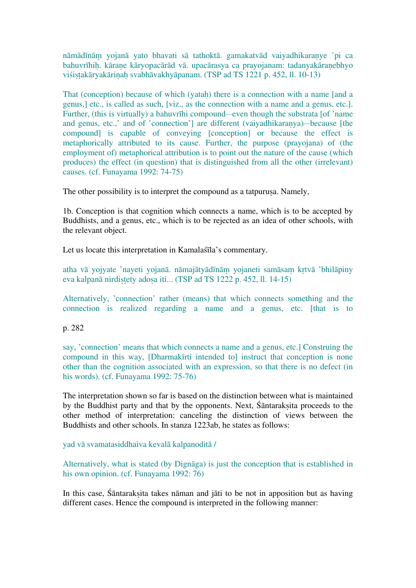nāmādīnāṃ yojanā yato bhavati sā tathoktā. gamakatvād vaiyadhikaraṇye 'pi ca bahuvrīhih. kārane kāryopacārād vā. upacārasya ca prayojanam: tadanyakāranebhyo viśistakāryakārinah svabhāvakhyāpanam. (TSP ad TS 1221 p. 452, ll. 10-13)

That (conception) because of which (yatah) there is a connection with a name [and a genus,] etc., is called as such, [viz., as the connection with a name and a genus, etc.]. Further, (this is virtually) a bahuvrīhi compound—even though the substrata [of 'name and genus, etc.,' and of 'connection'] are different (vaiyadhikaranya)—because [the compound] is capable of conveying [conception] or because the effect is metaphorically attributed to its cause. Further, the purpose (prayojana) of (the employment of) metaphorical attribution is to point out the nature of the cause (which produces) the effect (in question) that is distinguished from all the other (irrelevant) causes. (cf. Funayama 1992: 74-75)

The other possibility is to interpret the compound as a tatpurusa. Namely,

1b. Conception is that cognition which connects a name, which is to be accepted by Buddhists, and a genus, etc., which is to be rejected as an idea of other schools, with the relevant object.

Let us locate this interpretation in Kamalaśīla's commentary.

atha vā yojyate 'nayeti yojanā. nāmajātyādīnāṃ yojaneti samāsaṃ kṛtvā 'bhilāpiny eva kalpanā nirdistety adosa iti... (TSP ad TS 1222 p. 452, ll. 14-15)

Alternatively, 'connection' rather (means) that which connects something and the connection is realized regarding a name and a genus, etc. [that is to

p. 282

say, 'connection' means that which connects a name and a genus, etc.] Construing the compound in this way, [Dharmakīrti intended to] instruct that conception is none other than the cognition associated with an expression, so that there is no defect (in his words). (cf. Funayama 1992: 75-76)

The interpretation shown so far is based on the distinction between what is maintained by the Buddhist party and that by the opponents. Next, Śāntarakṣita proceeds to the other method of interpretation: canceling the distinction of views between the Buddhists and other schools. In stanza 1223ab, he states as follows:

yad vā svamatasiddhaiva kevalā kalpanoditā /

Alternatively, what is stated (by Dignāga) is just the conception that is established in his own opinion. (cf. Funayama 1992: 76)

In this case, Śāntarakṣita takes nāman and jāti to be not in apposition but as having different cases. Hence the compound is interpreted in the following manner: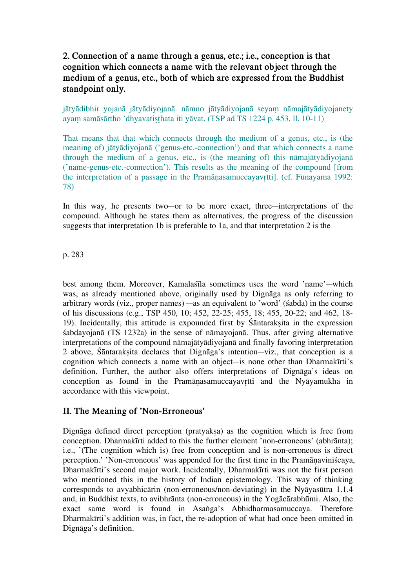### **2. Connection of a name through a genus, etc.; i.e., conception is that cognition which connects a name with the relevant object through the medium of a genus, etc., both of which are expressed from the Buddhist standpoint only.**

jātyādibhir yojanā jātyādiyojanā. nāmno jātyādiyojanā seyaṃ nāmajātyādiyojanety ayam samāsārtho 'dhyavatisthata iti yāvat. (TSP ad TS 1224 p. 453, ll. 10-11)

That means that that which connects through the medium of a genus, etc., is (the meaning of) jātyādiyojanā ('genus-etc.-connection') and that which connects a name through the medium of a genus, etc., is (the meaning of) this nāmajātyādiyojanā ('name-genus-etc.-connection'). This results as the meaning of the compound [from the interpretation of a passage in the Pramāṇasamuccayavṛtti]. (cf. Funayama 1992: 78)

In this way, he presents two—or to be more exact, three—interpretations of the compound. Although he states them as alternatives, the progress of the discussion suggests that interpretation 1b is preferable to 1a, and that interpretation 2 is the

p. 283

best among them. Moreover, Kamalaśīla sometimes uses the word 'name'—which was, as already mentioned above, originally used by Dignāga as only referring to arbitrary words (viz., proper names) —as an equivalent to 'word' (śabda) in the course of his discussions (e.g., TSP 450, 10; 452, 22-25; 455, 18; 455, 20-22; and 462, 18- 19). Incidentally, this attitude is expounded first by Śāntarakṣita in the expression śabdayojanā (TS 1232a) in the sense of nāmayojanā. Thus, after giving alternative interpretations of the compound nāmajātyādiyojanā and finally favoring interpretation 2 above, Śāntarakṣita declares that Dignāga's intention—viz., that conception is a cognition which connects a name with an object—is none other than Dharmakīrti's definition. Further, the author also offers interpretations of Dignāga's ideas on conception as found in the Pramāṇasamuccayavṛtti and the Nyāyamukha in accordance with this viewpoint.

### **II. The Meaning of 'Non-Erroneous'**

Dignāga defined direct perception (pratyaksa) as the cognition which is free from conception. Dharmakīrti added to this the further element 'non-erroneous' (abhrānta); i.e., '(The cognition which is) free from conception and is non-erroneous is direct perception.' 'Non-erroneous' was appended for the first time in the Pramānaviniścaya, Dharmakīrti's second major work. Incidentally, Dharmakīrti was not the first person who mentioned this in the history of Indian epistemology. This way of thinking corresponds to avyabhicārin (non-erroneous/non-deviating) in the Nyāyasūtra 1.1.4 and, in Buddhist texts, to avibhrānta (non-erroneous) in the Yogācārabhūmi. Also, the exact same word is found in Asaṅga's Abhidharmasamuccaya. Therefore Dharmakīrti's addition was, in fact, the re-adoption of what had once been omitted in Dignāga's definition.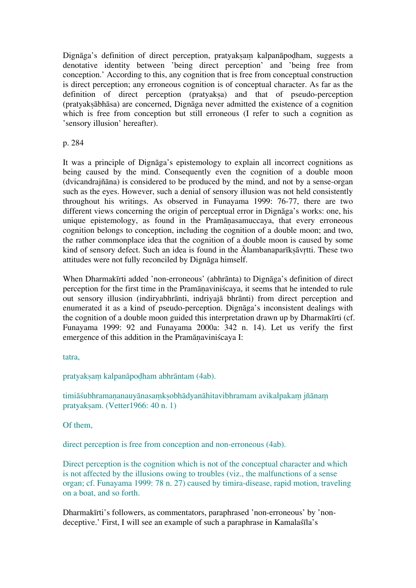Dignāga's definition of direct perception, pratyakṣaṃ kalpanāpoḍham, suggests a denotative identity between 'being direct perception' and 'being free from conception.' According to this, any cognition that is free from conceptual construction is direct perception; any erroneous cognition is of conceptual character. As far as the definition of direct perception (pratyaksa) and that of pseudo-perception (pratyakṣābhāsa) are concerned, Dignāga never admitted the existence of a cognition which is free from conception but still erroneous (I refer to such a cognition as 'sensory illusion' hereafter).

p. 284

It was a principle of Dignāga's epistemology to explain all incorrect cognitions as being caused by the mind. Consequently even the cognition of a double moon (dvicandrajñāna) is considered to be produced by the mind, and not by a sense-organ such as the eyes. However, such a denial of sensory illusion was not held consistently throughout his writings. As observed in Funayama 1999: 76-77, there are two different views concerning the origin of perceptual error in Dignāga's works: one, his unique epistemology, as found in the Pramāṇasamuccaya, that every erroneous cognition belongs to conception, including the cognition of a double moon; and two, the rather commonplace idea that the cognition of a double moon is caused by some kind of sensory defect. Such an idea is found in the Ālambanaparīksāvrtti. These two attitudes were not fully reconciled by Dignāga himself.

When Dharmakīrti added 'non-erroneous' (abhrānta) to Dignāga's definition of direct perception for the first time in the Pramāṇaviniścaya, it seems that he intended to rule out sensory illusion (indiryabhrānti, indriyajā bhrānti) from direct perception and enumerated it as a kind of pseudo-perception. Dignāga's inconsistent dealings with the cognition of a double moon guided this interpretation drawn up by Dharmakīrti (cf. Funayama 1999: 92 and Funayama 2000a: 342 n. 14). Let us verify the first emergence of this addition in the Pramāṇaviniścaya I:

tatra,

pratyaksam kalpanāpodham abhrāntam (4ab).

timiāśubhramananauyānasamksobhādyanāhitavibhramam avikalpakam jñānam pratyakṣam. (Vetter1966: 40 n. 1)

Of them,

direct perception is free from conception and non-erroneous (4ab).

Direct perception is the cognition which is not of the conceptual character and which is not affected by the illusions owing to troubles (viz., the malfunctions of a sense organ; cf. Funayama 1999: 78 n. 27) caused by timira-disease, rapid motion, traveling on a boat, and so forth.

Dharmakīrti's followers, as commentators, paraphrased 'non-erroneous' by 'nondeceptive.' First, I will see an example of such a paraphrase in Kamalaśīla's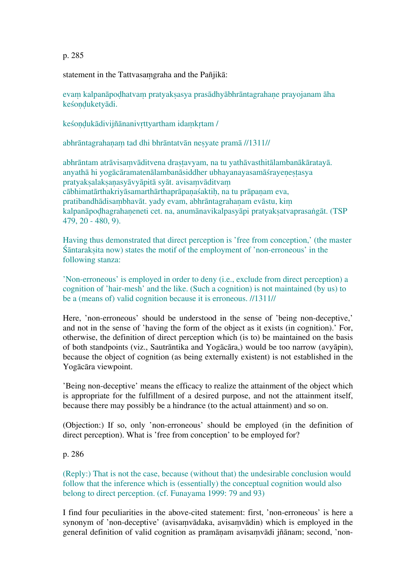p. 285

statement in the Tattvasaṃgraha and the Pañjikā:

evaṃ kalpanāpoḍhatvaṃ pratyakṣasya prasādhyābhrāntagrahaṇe prayojanam āha keśoṇḍuketyādi.

keśondukādivijñānanivrttyartham idamkrtam /

abhrāntagrahaṇaṃ tad dhi bhrāntatvān neṣyate pramā //1311//

abhrāntam atrāvisaṃvāditvena draṣṭavyam, na tu yathāvasthitālambanākāratayā. anyathā hi yogācāramatenālambanāsiddher ubhayanayasamāśrayeṇeṣṭasya pratyaksalaksanasyāvyāpitā syāt. avisamvāditvam cābhimatārthakriyāsamarthārthaprāpaṇaśaktiḥ, na tu prāpaṇam eva, pratibandhādisambhavāt. yady evam, abhrāntagrahanam evāstu, kim kalpanāpoḍhagrahaṇeneti cet. na, anumānavikalpasyāpi pratyakṣatvaprasaṅgāt. (TSP 479, 20 - 480, 9).

Having thus demonstrated that direct perception is 'free from conception,' (the master Śāntarakṣita now) states the motif of the employment of 'non-erroneous' in the following stanza:

'Non-erroneous' is employed in order to deny (i.e., exclude from direct perception) a cognition of 'hair-mesh' and the like. (Such a cognition) is not maintained (by us) to be a (means of) valid cognition because it is erroneous. //1311//

Here, 'non-erroneous' should be understood in the sense of 'being non-deceptive,' and not in the sense of 'having the form of the object as it exists (in cognition).' For, otherwise, the definition of direct perception which (is to) be maintained on the basis of both standpoints (viz., Sautrāntika and Yogācāra,) would be too narrow (avyāpin), because the object of cognition (as being externally existent) is not established in the Yogācāra viewpoint.

'Being non-deceptive' means the efficacy to realize the attainment of the object which is appropriate for the fulfillment of a desired purpose, and not the attainment itself, because there may possibly be a hindrance (to the actual attainment) and so on.

(Objection:) If so, only 'non-erroneous' should be employed (in the definition of direct perception). What is 'free from conception' to be employed for?

#### p. 286

(Reply:) That is not the case, because (without that) the undesirable conclusion would follow that the inference which is (essentially) the conceptual cognition would also belong to direct perception. (cf. Funayama 1999: 79 and 93)

I find four peculiarities in the above-cited statement: first, 'non-erroneous' is here a synonym of 'non-deceptive' (avisaṃvādaka, avisaṃvādin) which is employed in the general definition of valid cognition as pramāṇam avisaṃvādi jñānam; second, 'non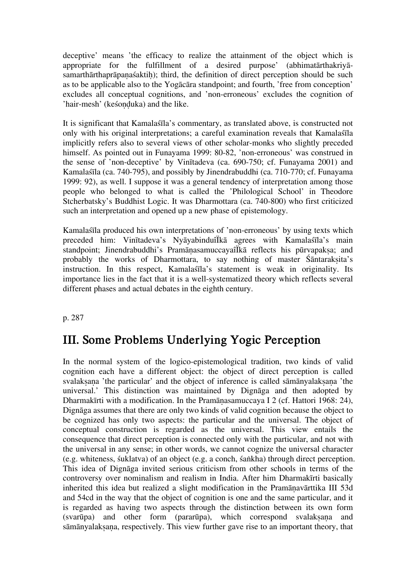deceptive' means 'the efficacy to realize the attainment of the object which is appropriate for the fulfillment of a desired purpose' (abhimatārthakriyāsamarthārthaprāpanaśaktih); third, the definition of direct perception should be such as to be applicable also to the Yogācāra standpoint; and fourth, 'free from conception' excludes all conceptual cognitions, and 'non-erroneous' excludes the cognition of 'hair-mesh' (keśonduka) and the like.

It is significant that Kamalaśīla's commentary, as translated above, is constructed not only with his original interpretations; a careful examination reveals that Kamalaśīla implicitly refers also to several views of other scholar-monks who slightly preceded himself. As pointed out in Funayama 1999: 80-82, 'non-erroneous' was construed in the sense of 'non-deceptive' by Vinītadeva (ca. 690-750; cf. Funayama 2001) and Kamalaśīla (ca. 740-795), and possibly by Jinendrabuddhi (ca. 710-770; cf. Funayama 1999: 92), as well. I suppose it was a general tendency of interpretation among those people who belonged to what is called the 'Philological School' in Theodore Stcherbatsky's Buddhist Logic. It was Dharmottara (ca. 740-800) who first criticized such an interpretation and opened up a new phase of epistemology.

Kamalaśīla produced his own interpretations of 'non-erroneous' by using texts which preceded him: Vinītadeva's NyāyabinduîÏkā agrees with Kamalaśīla's main standpoint; Jinendrabuddhi's Pramānasamuccayaî kā reflects his pūrvapaksa; and probably the works of Dharmottara, to say nothing of master Śāntarakṣita's instruction. In this respect, Kamalaśīla's statement is weak in originality. Its importance lies in the fact that it is a well-systematized theory which reflects several different phases and actual debates in the eighth century.

p. 287

## **III. Some Problems Underlying Yogic Perception**

In the normal system of the logico-epistemological tradition, two kinds of valid cognition each have a different object: the object of direct perception is called svalaksana 'the particular' and the object of inference is called sāmānyalaksana 'the universal.' This distinction was maintained by Dignāga and then adopted by Dharmakīrti with a modification. In the Pramāṇasamuccaya I 2 (cf. Hattori 1968: 24), Dignāga assumes that there are only two kinds of valid cognition because the object to be cognized has only two aspects: the particular and the universal. The object of conceptual construction is regarded as the universal. This view entails the consequence that direct perception is connected only with the particular, and not with the universal in any sense; in other words, we cannot cognize the universal character (e.g. whiteness, śuklatva) of an object (e.g. a conch, śaṅkha) through direct perception. This idea of Dignāga invited serious criticism from other schools in terms of the controversy over nominalism and realism in India. After him Dharmakīrti basically inherited this idea but realized a slight modification in the Pramāṇavārttika III 53d and 54cd in the way that the object of cognition is one and the same particular, and it is regarded as having two aspects through the distinction between its own form (svarūpa) and other form (pararūpa), which correspond svalaksana and sāmānyalaksana, respectively. This view further gave rise to an important theory, that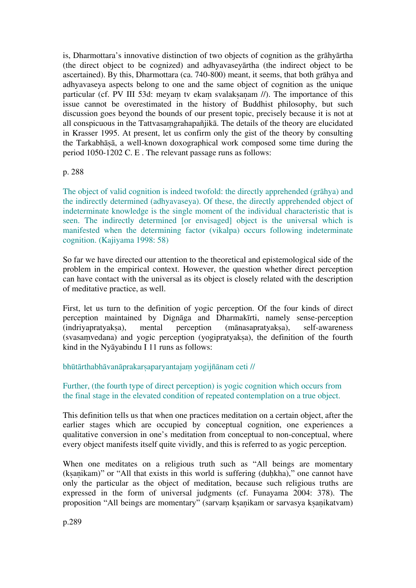is, Dharmottara's innovative distinction of two objects of cognition as the grāhyārtha (the direct object to be cognized) and adhyavaseyārtha (the indirect object to be ascertained). By this, Dharmottara (ca. 740-800) meant, it seems, that both grāhya and adhyavaseya aspects belong to one and the same object of cognition as the unique particular (cf. PV III 53d: meyam tv ekam svalakṣaṇam //). The importance of this issue cannot be overestimated in the history of Buddhist philosophy, but such discussion goes beyond the bounds of our present topic, precisely because it is not at all conspicuous in the Tattvasaṃgrahapañjikā. The details of the theory are elucidated in Krasser 1995. At present, let us confirm only the gist of the theory by consulting the Tarkabhāṣā, a well-known doxographical work composed some time during the period 1050-1202 C. E . The relevant passage runs as follows:

#### p. 288

The object of valid cognition is indeed twofold: the directly apprehended (grāhya) and the indirectly determined (adhyavaseya). Of these, the directly apprehended object of indeterminate knowledge is the single moment of the individual characteristic that is seen. The indirectly determined [or envisaged] object is the universal which is manifested when the determining factor (vikalpa) occurs following indeterminate cognition. (Kajiyama 1998: 58)

So far we have directed our attention to the theoretical and epistemological side of the problem in the empirical context. However, the question whether direct perception can have contact with the universal as its object is closely related with the description of meditative practice, as well.

First, let us turn to the definition of yogic perception. Of the four kinds of direct perception maintained by Dignāga and Dharmakīrti, namely sense-perception (indriyapratyakṣa), mental perception (mānasapratyakṣa), self-awareness (svasaṃvedana) and yogic perception (yogipratyakṣa), the definition of the fourth kind in the Nyāyabindu I 11 runs as follows:

#### bhūtārthabhāvanāprakarsaparyantajam yogijñānam ceti //

#### Further, (the fourth type of direct perception) is yogic cognition which occurs from the final stage in the elevated condition of repeated contemplation on a true object.

This definition tells us that when one practices meditation on a certain object, after the earlier stages which are occupied by conceptual cognition, one experiences a qualitative conversion in one's meditation from conceptual to non-conceptual, where every object manifests itself quite vividly, and this is referred to as yogic perception.

When one meditates on a religious truth such as "All beings are momentary (ksanikam)" or "All that exists in this world is suffering (duhkha)," one cannot have only the particular as the object of meditation, because such religious truths are expressed in the form of universal judgments (cf. Funayama 2004: 378). The proposition "All beings are momentary" (sarvam ksanikam or sarvasya ksanikatvam)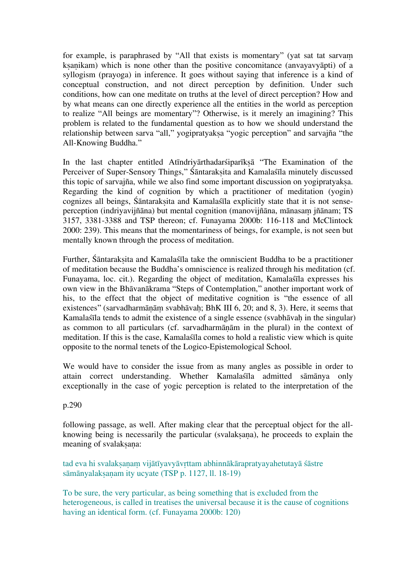for example, is paraphrased by "All that exists is momentary" (yat sat tat sarvaṃ ksanikam) which is none other than the positive concomitance (anvayavyāpti) of a syllogism (prayoga) in inference. It goes without saying that inference is a kind of conceptual construction, and not direct perception by definition. Under such conditions, how can one meditate on truths at the level of direct perception? How and by what means can one directly experience all the entities in the world as perception to realize "All beings are momentary"? Otherwise, is it merely an imagining? This problem is related to the fundamental question as to how we should understand the relationship between sarva "all," yogipratyakṣa "yogic perception" and sarvajña "the All-Knowing Buddha."

In the last chapter entitled Atīndriyārthadarsiparīksā "The Examination of the Perceiver of Super-Sensory Things," Śāntarakṣita and Kamalaśīla minutely discussed this topic of sarvajña, while we also find some important discussion on yogipratyaksa. Regarding the kind of cognition by which a practitioner of meditation (yogin) cognizes all beings, Śāntarakṣita and Kamalaśīla explicitly state that it is not senseperception (indriyavijñāna) but mental cognition (manovijñāna, mānasaṃ jñānam; TS 3157, 3381-3388 and TSP thereon; cf. Funayama 2000b: 116-118 and McClintock 2000: 239). This means that the momentariness of beings, for example, is not seen but mentally known through the process of meditation.

Further, Śāntaraksita and Kamalaśīla take the omniscient Buddha to be a practitioner of meditation because the Buddha's omniscience is realized through his meditation (cf. Funayama, loc. cit.). Regarding the object of meditation, Kamalaśīla expresses his own view in the Bhāvanākrama "Steps of Contemplation," another important work of his, to the effect that the object of meditative cognition is "the essence of all existences" (sarvadharmāṇāṃ svabhāvaḥ; BhK III 6, 20; and 8, 3). Here, it seems that Kamalaśīla tends to admit the existence of a single essence (svabhāvah in the singular) as common to all particulars (cf. sarvadharmāṇām in the plural) in the context of meditation. If this is the case, Kamalaśīla comes to hold a realistic view which is quite opposite to the normal tenets of the Logico-Epistemological School.

We would have to consider the issue from as many angles as possible in order to attain correct understanding. Whether Kamalaśīla admitted sāmānya only exceptionally in the case of yogic perception is related to the interpretation of the

p.290

following passage, as well. After making clear that the perceptual object for the allknowing being is necessarily the particular (svalaksana), he proceeds to explain the meaning of svalaksana:

tad eva hi svalaksanam vijātīyavyāvrttam abhinnākārapratyayahetutayā śāstre sāmānyalaksanam ity ucyate (TSP p. 1127, ll. 18-19)

To be sure, the very particular, as being something that is excluded from the heterogeneous, is called in treatises the universal because it is the cause of cognitions having an identical form. (cf. Funayama 2000b: 120)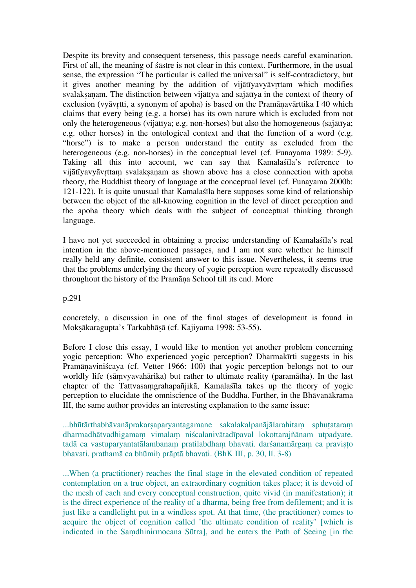Despite its brevity and consequent terseness, this passage needs careful examination. First of all, the meaning of śāstre is not clear in this context. Furthermore, in the usual sense, the expression "The particular is called the universal" is self-contradictory, but it gives another meaning by the addition of vijātīyavyāvṛttam which modifies svalaksanam. The distinction between vijātīya and sajātīya in the context of theory of exclusion (vyāvṛtti, a synonym of apoha) is based on the Pramāṇavārttika I 40 which claims that every being (e.g. a horse) has its own nature which is excluded from not only the heterogeneous (vijātīya; e.g. non-horses) but also the homogeneous (sajātīya; e.g. other horses) in the ontological context and that the function of a word (e.g. "horse") is to make a person understand the entity as excluded from the heterogeneous (e.g. non-horses) in the conceptual level (cf. Funayama 1989: 5-9). Taking all this into account, we can say that Kamalaśīla's reference to vijātīyavyāvrttam svalaksanam as shown above has a close connection with apoha theory, the Buddhist theory of language at the conceptual level (cf. Funayama 2000b: 121-122). It is quite unusual that Kamalaśīla here supposes some kind of relationship between the object of the all-knowing cognition in the level of direct perception and the apoha theory which deals with the subject of conceptual thinking through language.

I have not yet succeeded in obtaining a precise understanding of Kamalaśīla's real intention in the above-mentioned passages, and I am not sure whether he himself really held any definite, consistent answer to this issue. Nevertheless, it seems true that the problems underlying the theory of yogic perception were repeatedly discussed throughout the history of the Pramāṇa School till its end. More

p.291

concretely, a discussion in one of the final stages of development is found in Mokṣākaragupta's Tarkabhāṣā (cf. Kajiyama 1998: 53-55).

Before I close this essay, I would like to mention yet another problem concerning yogic perception: Who experienced yogic perception? Dharmakīrti suggests in his Pramāṇaviniścaya (cf. Vetter 1966: 100) that yogic perception belongs not to our worldly life (sāṃvyavahārika) but rather to ultimate reality (paramātha). In the last chapter of the Tattvasaṃgrahapañjikā, Kamalaśīla takes up the theory of yogic perception to elucidate the omniscience of the Buddha. Further, in the Bhāvanākrama III, the same author provides an interesting explanation to the same issue:

...bhūtārthabhāvanāprakarṣaparyantagamane sakalakalpanājālarahitaṃ sphuṭataraṃ dharmadhātvadhigamaṃ vimalaṃ niścalanivātadīpaval lokottarajñānam utpadyate. tadā ca vastuparyantatālambanam pratilabdham bhavati. darśanamārgam ca pravisto bhavati. prathamā ca bhūmiḥ prāptā bhavati. (BhK III, p. 30, ll. 3-8)

...When (a practitioner) reaches the final stage in the elevated condition of repeated contemplation on a true object, an extraordinary cognition takes place; it is devoid of the mesh of each and every conceptual construction, quite vivid (in manifestation); it is the direct experience of the reality of a dharma, being free from defilement; and it is just like a candlelight put in a windless spot. At that time, (the practitioner) comes to acquire the object of cognition called 'the ultimate condition of reality' [which is indicated in the Saṃdhinirmocana Sūtra], and he enters the Path of Seeing [in the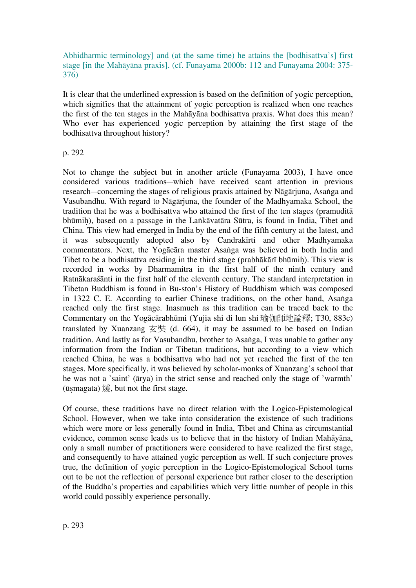#### Abhidharmic terminology] and (at the same time) he attains the [bodhisattva's] first stage [in the Mahāyāna praxis]. (cf. Funayama 2000b: 112 and Funayama 2004: 375- 376)

It is clear that the underlined expression is based on the definition of yogic perception, which signifies that the attainment of yogic perception is realized when one reaches the first of the ten stages in the Mahāyāna bodhisattva praxis. What does this mean? Who ever has experienced yogic perception by attaining the first stage of the bodhisattva throughout history?

#### p. 292

Not to change the subject but in another article (Funayama 2003), I have once considered various traditions—which have received scant attention in previous research—concerning the stages of religious praxis attained by Nāgārjuna, Asaṅga and Vasubandhu. With regard to Nāgārjuna, the founder of the Madhyamaka School, the tradition that he was a bodhisattva who attained the first of the ten stages (pramuditā bhūmiḥ), based on a passage in the Laṅkāvatāra Sūtra, is found in India, Tibet and China. This view had emerged in India by the end of the fifth century at the latest, and it was subsequently adopted also by Candrakīrti and other Madhyamaka commentators. Next, the Yogācāra master Asaṅga was believed in both India and Tibet to be a bodhisattva residing in the third stage (prabhākārī bhūmiḥ). This view is recorded in works by Dharmamitra in the first half of the ninth century and Ratnākaraśānti in the first half of the eleventh century. The standard interpretation in Tibetan Buddhism is found in Bu-ston's History of Buddhism which was composed in 1322 C. E. According to earlier Chinese traditions, on the other hand, Asaṅga reached only the first stage. Inasmuch as this tradition can be traced back to the Commentary on the Yogācārabhūmi (Yujia shi di lun shi 瑜伽師地論釋; T30, 883c) translated by Xuanzang  $\overline{\mathcal{Z}}$  (d. 664), it may be assumed to be based on Indian tradition. And lastly as for Vasubandhu, brother to Asaṅga, I was unable to gather any information from the Indian or Tibetan traditions, but according to a view which reached China, he was a bodhisattva who had not yet reached the first of the ten stages. More specifically, it was believed by scholar-monks of Xuanzang's school that he was not a 'saint' (ārya) in the strict sense and reached only the stage of 'warmth'  $(i<sub>ismagata</sub>)$   $\circled{g}$ , but not the first stage.

Of course, these traditions have no direct relation with the Logico-Epistemological School. However, when we take into consideration the existence of such traditions which were more or less generally found in India, Tibet and China as circumstantial evidence, common sense leads us to believe that in the history of Indian Mahāyāna, only a small number of practitioners were considered to have realized the first stage, and consequently to have attained yogic perception as well. If such conjecture proves true, the definition of yogic perception in the Logico-Epistemological School turns out to be not the reflection of personal experience but rather closer to the description of the Buddha's properties and capabilities which very little number of people in this world could possibly experience personally.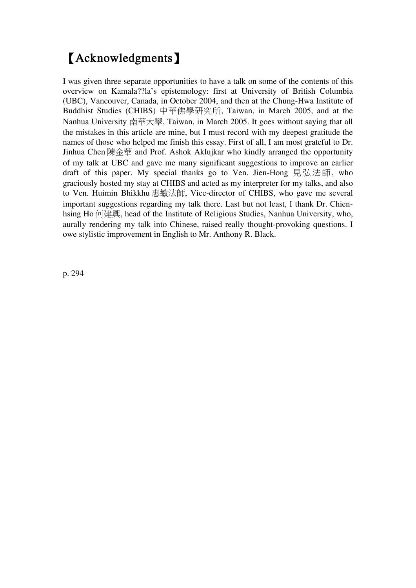# 【**Acknowledgments**】

I was given three separate opportunities to have a talk on some of the contents of this overview on Kamala??la's epistemology: first at University of British Columbia (UBC), Vancouver, Canada, in October 2004, and then at the Chung-Hwa Institute of Buddhist Studies (CHIBS) 中華佛學研究所, Taiwan, in March 2005, and at the Nanhua University 南華大學, Taiwan, in March 2005. It goes without saying that all the mistakes in this article are mine, but I must record with my deepest gratitude the names of those who helped me finish this essay. First of all, I am most grateful to Dr. Jinhua Chen 陳金華 and Prof. Ashok Aklujkar who kindly arranged the opportunity of my talk at UBC and gave me many significant suggestions to improve an earlier draft of this paper. My special thanks go to Ven. Jien-Hong 見弘法師, who graciously hosted my stay at CHIBS and acted as my interpreter for my talks, and also to Ven. Huimin Bhikkhu 惠敏法師, Vice-director of CHIBS, who gave me several important suggestions regarding my talk there. Last but not least, I thank Dr. Chienhsing Ho 何建興, head of the Institute of Religious Studies, Nanhua University, who, aurally rendering my talk into Chinese, raised really thought-provoking questions. I owe stylistic improvement in English to Mr. Anthony R. Black.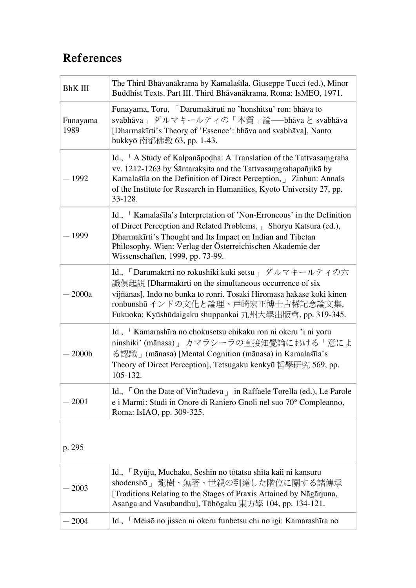# **References**

| <b>BhK III</b>   | The Third Bhāvanākrama by Kamalaśīla. Giuseppe Tucci (ed.), Minor<br>Buddhist Texts. Part III. Third Bhāvanākrama. Roma: IsMEO, 1971.                                                                                                                                                                     |
|------------------|-----------------------------------------------------------------------------------------------------------------------------------------------------------------------------------------------------------------------------------------------------------------------------------------------------------|
| Funayama<br>1989 | Funayama, Toru, Darumakīruti no 'honshitsu' ron: bhāva to<br>svabhāva」ダルマキールティの「本質」論——bhāva と svabhāva<br>[Dharmakīrti's Theory of 'Essence': bhava and svabhāva], Nanto<br>bukkyō 南都佛教 63, pp. 1-43.                                                                                                     |
| $-1992$          | Id., A Study of Kalpana podha: A Translation of the Tattvasamgraha<br>vv. 1212-1263 by Śāntaraksita and the Tattvasamgrahapañjikā by<br>Kamalaśīla on the Definition of Direct Perception, Guinhald Zinbun: Annals<br>of the Institute for Research in Humanities, Kyoto University 27, pp.<br>33-128.    |
| 1999             | Id., Kamalaśila's Interpretation of 'Non-Erroneous' in the Definition<br>of Direct Perception and Related Problems, Bhoryu Katsura (ed.),<br>Dharmakīrti's Thought and Its Impact on Indian and Tibetan<br>Philosophy. Wien: Verlag der Österreichischen Akademie der<br>Wissenschaften, 1999, pp. 73-99. |
| 2000a            | Id., 「Darumakīrti no rokushiki kuki setsu 」ダルマキールティの六<br>識倶起説 [Dharmakīrti on the simultaneous occurrence of six<br>vijñānas], Indo no bunka to ronri. Tosaki Hiromasa hakase koki kinen<br>ronbunshū インドの文化と論理、戸崎宏正博士古稀記念論文集,<br>Fukuoka: Kyūshūdaigaku shuppankai九州大學出版會, pp. 319-345.                  |
| 2000b            | Id., Kamarashīra no chokusetsu chikaku ron ni okeru 'i ni yoru<br>ninshiki' (mānasa)   カマラシーラの直接知覺論における「意によ<br>る認識」(mānasa) [Mental Cognition (mānasa) in Kamalaśīla's<br>Theory of Direct Perception], Tetsugaku kenkyū 哲學研究 569, pp.<br>105-132.                                                        |
| $-2001$          | Id., $\overline{\phantom{a}}$ On the Date of Vin?tadeva $\overline{\phantom{a}}$ in Raffaele Torella (ed.), Le Parole<br>e i Marmi: Studi in Onore di Raniero Gnoli nel suo 70° Compleanno,<br>Roma: IsIAO, pp. 309-325.                                                                                  |

| $-2003$ | Id., <sup>F</sup> Ryūju, Muchaku, Seshin no tōtatsu shita kaii ni kansuru<br>shodenshō」龍樹、無著、世親の到達した階位に關する諸傳承<br>[Traditions Relating to the Stages of Praxis Attained by Nāgārjuna,<br>Asanga and Vasubandhu], Tōhōgaku 東方學 104, pp. 134-121. |
|---------|------------------------------------------------------------------------------------------------------------------------------------------------------------------------------------------------------------------------------------------------|
| $-2004$ | Id., Meisō no jissen ni okeru funbetsu chi no igi: Kamarashīra no                                                                                                                                                                              |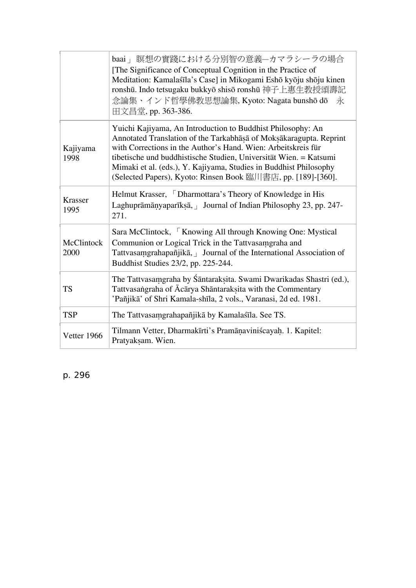|                        | baai」瞑想の實踐における分別智の意義–カマラシーラの場合<br>[The Significance of Conceptual Cognition in the Practice of<br>Meditation: Kamalaśīla's Case] in Mikogami Eshō kyōju shōju kinen<br>ronshū. Indo tetsugaku bukkyō shisō ronshū 神子上惠生教授頌壽記<br>念論集、インド哲學佛教思想論集, Kyoto: Nagata bunshō dō<br>永<br>田文昌堂, pp. 363-386.                                                                                                          |
|------------------------|--------------------------------------------------------------------------------------------------------------------------------------------------------------------------------------------------------------------------------------------------------------------------------------------------------------------------------------------------------------------------------------------------------------|
| Kajiyama<br>1998       | Yuichi Kajiyama, An Introduction to Buddhist Philosophy: An<br>Annotated Translation of the Tarkabhasa of Moksakaragupta. Reprint<br>with Corrections in the Author's Hand. Wien: Arbeitskreis für<br>tibetische und buddhistische Studien, Universität Wien. = Katsumi<br>Mimaki et al. (eds.), Y. Kajiyama, Studies in Buddhist Philosophy<br>(Selected Papers), Kyoto: Rinsen Book 臨川書店, pp. [189]-[360]. |
| <b>Krasser</b><br>1995 | Helmut Krasser, Dharmottara's Theory of Knowledge in His<br>Laghuprāmānyaparīksā, Journal of Indian Philosophy 23, pp. 247-<br>271.                                                                                                                                                                                                                                                                          |
| McClintock<br>2000     | Sara McClintock, Knowing All through Knowing One: Mystical<br>Communion or Logical Trick in the Tattvasamgraha and<br>Tattvasamgrahapañjikā, Journal of the International Association of<br>Buddhist Studies 23/2, pp. 225-244.                                                                                                                                                                              |
| <b>TS</b>              | The Tattvasamgraha by Śāntaraksita. Swami Dwarikadas Shastri (ed.),<br>Tattvasangraha of Ācārya Shāntaraksita with the Commentary<br>'Pañjikā' of Shri Kamala-shīla, 2 vols., Varanasi, 2d ed. 1981.                                                                                                                                                                                                         |
| <b>TSP</b>             | The Tattvasamgrahapañjikā by Kamalaśīla. See TS.                                                                                                                                                                                                                                                                                                                                                             |
| Vetter 1966            | Tilmann Vetter, Dharmakīrti's Pramāņaviniścayah. 1. Kapitel:<br>Pratyaksam. Wien.                                                                                                                                                                                                                                                                                                                            |